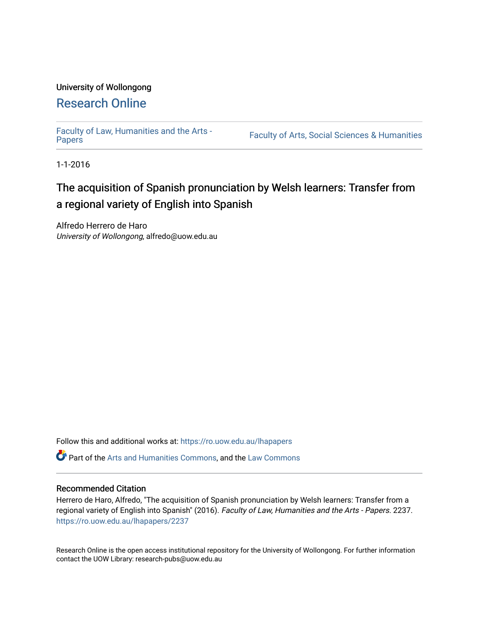## University of Wollongong [Research Online](https://ro.uow.edu.au/)

[Faculty of Law, Humanities and the Arts -](https://ro.uow.edu.au/lhapapers)

Faculty of Arts, Social Sciences & Humanities

1-1-2016

# The acquisition of Spanish pronunciation by Welsh learners: Transfer from a regional variety of English into Spanish

Alfredo Herrero de Haro University of Wollongong, alfredo@uow.edu.au

Follow this and additional works at: [https://ro.uow.edu.au/lhapapers](https://ro.uow.edu.au/lhapapers?utm_source=ro.uow.edu.au%2Flhapapers%2F2237&utm_medium=PDF&utm_campaign=PDFCoverPages) 

Part of the [Arts and Humanities Commons,](http://network.bepress.com/hgg/discipline/438?utm_source=ro.uow.edu.au%2Flhapapers%2F2237&utm_medium=PDF&utm_campaign=PDFCoverPages) and the [Law Commons](http://network.bepress.com/hgg/discipline/578?utm_source=ro.uow.edu.au%2Flhapapers%2F2237&utm_medium=PDF&utm_campaign=PDFCoverPages) 

#### Recommended Citation

Herrero de Haro, Alfredo, "The acquisition of Spanish pronunciation by Welsh learners: Transfer from a regional variety of English into Spanish" (2016). Faculty of Law, Humanities and the Arts - Papers. 2237. [https://ro.uow.edu.au/lhapapers/2237](https://ro.uow.edu.au/lhapapers/2237?utm_source=ro.uow.edu.au%2Flhapapers%2F2237&utm_medium=PDF&utm_campaign=PDFCoverPages)

Research Online is the open access institutional repository for the University of Wollongong. For further information contact the UOW Library: research-pubs@uow.edu.au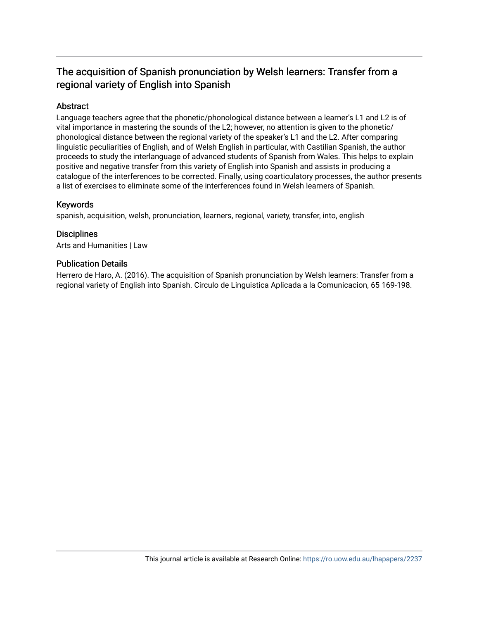# The acquisition of Spanish pronunciation by Welsh learners: Transfer from a regional variety of English into Spanish

#### Abstract

Language teachers agree that the phonetic/phonological distance between a learner's L1 and L2 is of vital importance in mastering the sounds of the L2; however, no attention is given to the phonetic/ phonological distance between the regional variety of the speaker's L1 and the L2. After comparing linguistic peculiarities of English, and of Welsh English in particular, with Castilian Spanish, the author proceeds to study the interlanguage of advanced students of Spanish from Wales. This helps to explain positive and negative transfer from this variety of English into Spanish and assists in producing a catalogue of the interferences to be corrected. Finally, using coarticulatory processes, the author presents a list of exercises to eliminate some of the interferences found in Welsh learners of Spanish.

#### Keywords

spanish, acquisition, welsh, pronunciation, learners, regional, variety, transfer, into, english

#### **Disciplines**

Arts and Humanities | Law

#### Publication Details

Herrero de Haro, A. (2016). The acquisition of Spanish pronunciation by Welsh learners: Transfer from a regional variety of English into Spanish. Circulo de Linguistica Aplicada a la Comunicacion, 65 169-198.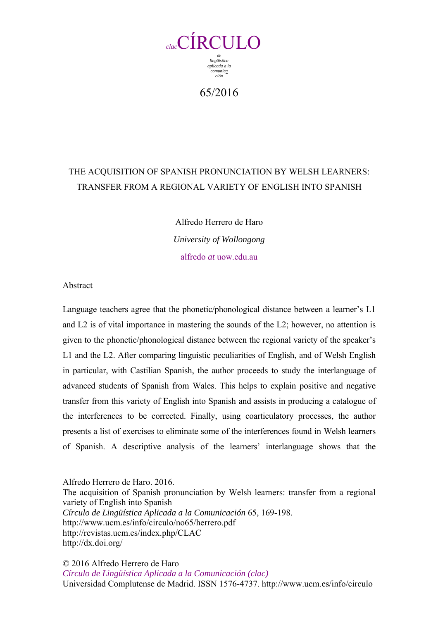

65/2016

# THE ACQUISITION OF SPANISH PRONUNCIATION BY WELSH LEARNERS: TRANSFER FROM A REGIONAL VARIETY OF ENGLISH INTO SPANISH

Alfredo Herrero de Haro *University of Wollongong*  alfredo *at* uow.edu.au

Abstract

Language teachers agree that the phonetic/phonological distance between a learner's L1 and L2 is of vital importance in mastering the sounds of the L2; however, no attention is given to the phonetic/phonological distance between the regional variety of the speaker's L1 and the L2. After comparing linguistic peculiarities of English, and of Welsh English in particular, with Castilian Spanish, the author proceeds to study the interlanguage of advanced students of Spanish from Wales. This helps to explain positive and negative transfer from this variety of English into Spanish and assists in producing a catalogue of the interferences to be corrected. Finally, using coarticulatory processes, the author presents a list of exercises to eliminate some of the interferences found in Welsh learners of Spanish. A descriptive analysis of the learners' interlanguage shows that the

Alfredo Herrero de Haro. 2016. The acquisition of Spanish pronunciation by Welsh learners: transfer from a regional variety of English into Spanish *Círculo de Lingüística Aplicada a la Comunicación* 65, 169-198. http://www.ucm.es/info/circulo/no65/herrero.pdf http://revistas.ucm.es/index.php/CLAC http://dx.doi.org/

© 2016 Alfredo Herrero de Haro *Círculo de Lingüística Aplicada a la Comunicación (clac)* Universidad Complutense de Madrid. ISSN 1576-4737. http://www.ucm.es/info/circulo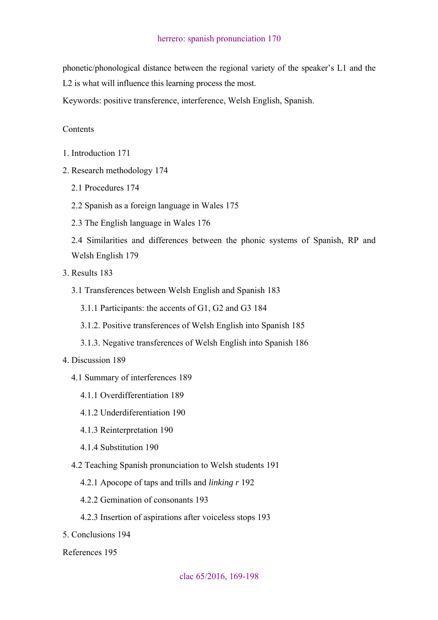phonetic/phonological distance between the regional variety of the speaker's L1 and the L2 is what will influence this learning process the most.

Keywords: positive transference, interference, Welsh English, Spanish.

#### **Contents**

- 1. Introduction 171
- 2. Research methodology 174
	- 2.1 Procedures 174
	- 2.2 Spanish as a foreign language in Wales 175
	- 2.3 The English language in Wales 176

2.4 Similarities and differences between the phonic systems of Spanish, RP and Welsh English 179

- 3. Results 183
	- 3.1 Transferences between Welsh English and Spanish 183
		- 3.1.1 Participants: the accents of G1, G2 and G3 184
		- 3.1.2. Positive transferences of Welsh English into Spanish 185
		- 3.1.3. Negative transferences of Welsh English into Spanish 186

#### 4. Discussion 189

- 4.1 Summary of interferences 189
	- 4.1.1 Overdifferentiation 189
	- 4.1.2 Underdiferentiation 190
	- 4.1.3 Reinterpretation 190
	- 4.1.4 Substitution 190
- 4.2 Teaching Spanish pronunciation to Welsh students 191
	- 4.2.1 Apocope of taps and trills and *linking r* 192
	- 4.2.2 Gemination of consonants 193
	- 4.2.3 Insertion of aspirations after voiceless stops 193
- 5. Conclusions 194

References 195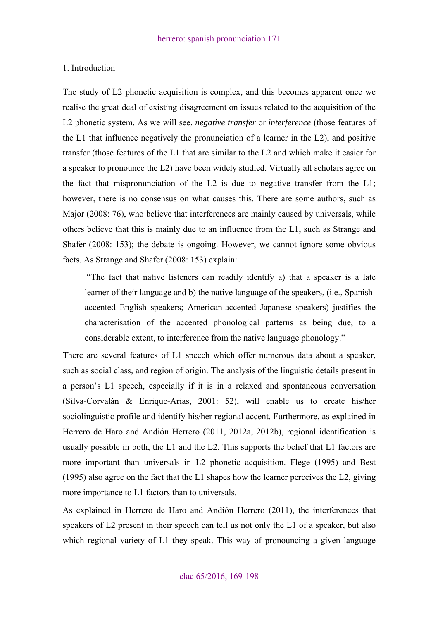#### 1. Introduction

The study of L2 phonetic acquisition is complex, and this becomes apparent once we realise the great deal of existing disagreement on issues related to the acquisition of the L2 phonetic system. As we will see, *negative transfer* or *interference* (those features of the L1 that influence negatively the pronunciation of a learner in the L2), and positive transfer (those features of the L1 that are similar to the L2 and which make it easier for a speaker to pronounce the L2) have been widely studied. Virtually all scholars agree on the fact that mispronunciation of the L2 is due to negative transfer from the L1; however, there is no consensus on what causes this. There are some authors, such as Major (2008: 76), who believe that interferences are mainly caused by universals, while others believe that this is mainly due to an influence from the L1, such as Strange and Shafer (2008: 153); the debate is ongoing. However, we cannot ignore some obvious facts. As Strange and Shafer (2008: 153) explain:

 "The fact that native listeners can readily identify a) that a speaker is a late learner of their language and b) the native language of the speakers, (i.e., Spanishaccented English speakers; American-accented Japanese speakers) justifies the characterisation of the accented phonological patterns as being due, to a considerable extent, to interference from the native language phonology."

There are several features of L1 speech which offer numerous data about a speaker, such as social class, and region of origin. The analysis of the linguistic details present in a person's L1 speech, especially if it is in a relaxed and spontaneous conversation (Silva-Corvalán & Enrique-Arias, 2001: 52), will enable us to create his/her sociolinguistic profile and identify his/her regional accent. Furthermore, as explained in Herrero de Haro and Andión Herrero (2011, 2012a, 2012b), regional identification is usually possible in both, the L1 and the L2. This supports the belief that L1 factors are more important than universals in L2 phonetic acquisition. Flege (1995) and Best (1995) also agree on the fact that the L1 shapes how the learner perceives the L2, giving more importance to L1 factors than to universals.

As explained in Herrero de Haro and Andión Herrero (2011), the interferences that speakers of L2 present in their speech can tell us not only the L1 of a speaker, but also which regional variety of L1 they speak. This way of pronouncing a given language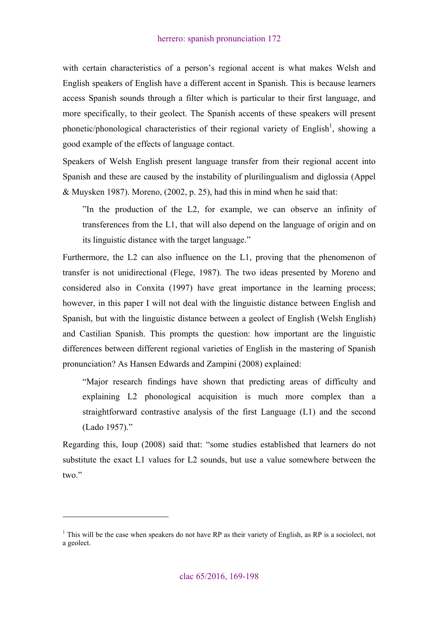with certain characteristics of a person's regional accent is what makes Welsh and English speakers of English have a different accent in Spanish. This is because learners access Spanish sounds through a filter which is particular to their first language, and more specifically, to their geolect. The Spanish accents of these speakers will present phonetic/phonological characteristics of their regional variety of English<sup>1</sup>, showing a good example of the effects of language contact.

Speakers of Welsh English present language transfer from their regional accent into Spanish and these are caused by the instability of plurilingualism and diglossia (Appel & Muysken 1987). Moreno, (2002, p. 25), had this in mind when he said that:

"In the production of the L2, for example, we can observe an infinity of transferences from the L1, that will also depend on the language of origin and on its linguistic distance with the target language."

Furthermore, the L2 can also influence on the L1, proving that the phenomenon of transfer is not unidirectional (Flege, 1987). The two ideas presented by Moreno and considered also in Conxita (1997) have great importance in the learning process; however, in this paper I will not deal with the linguistic distance between English and Spanish, but with the linguistic distance between a geolect of English (Welsh English) and Castilian Spanish. This prompts the question: how important are the linguistic differences between different regional varieties of English in the mastering of Spanish pronunciation? As Hansen Edwards and Zampini (2008) explained:

"Major research findings have shown that predicting areas of difficulty and explaining L2 phonological acquisition is much more complex than a straightforward contrastive analysis of the first Language (L1) and the second (Lado 1957)."

Regarding this, Ioup (2008) said that: "some studies established that learners do not substitute the exact L1 values for L2 sounds, but use a value somewhere between the two."

<sup>&</sup>lt;sup>1</sup> This will be the case when speakers do not have RP as their variety of English, as RP is a sociolect, not a geolect.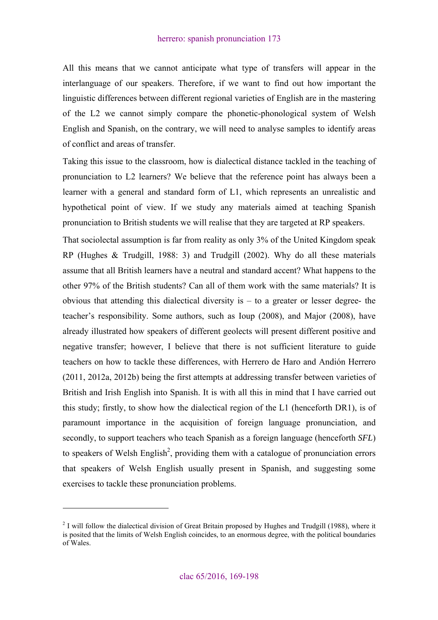All this means that we cannot anticipate what type of transfers will appear in the interlanguage of our speakers. Therefore, if we want to find out how important the linguistic differences between different regional varieties of English are in the mastering of the L2 we cannot simply compare the phonetic-phonological system of Welsh English and Spanish, on the contrary, we will need to analyse samples to identify areas of conflict and areas of transfer.

Taking this issue to the classroom, how is dialectical distance tackled in the teaching of pronunciation to L2 learners? We believe that the reference point has always been a learner with a general and standard form of L1, which represents an unrealistic and hypothetical point of view. If we study any materials aimed at teaching Spanish pronunciation to British students we will realise that they are targeted at RP speakers.

That sociolectal assumption is far from reality as only 3% of the United Kingdom speak RP (Hughes & Trudgill, 1988: 3) and Trudgill (2002). Why do all these materials assume that all British learners have a neutral and standard accent? What happens to the other 97% of the British students? Can all of them work with the same materials? It is obvious that attending this dialectical diversity is – to a greater or lesser degree- the teacher's responsibility. Some authors, such as Ioup (2008), and Major (2008), have already illustrated how speakers of different geolects will present different positive and negative transfer; however, I believe that there is not sufficient literature to guide teachers on how to tackle these differences, with Herrero de Haro and Andión Herrero (2011, 2012a, 2012b) being the first attempts at addressing transfer between varieties of British and Irish English into Spanish. It is with all this in mind that I have carried out this study; firstly, to show how the dialectical region of the L1 (henceforth DR1), is of paramount importance in the acquisition of foreign language pronunciation, and secondly, to support teachers who teach Spanish as a foreign language (henceforth *SFL*) to speakers of Welsh English<sup>2</sup>, providing them with a catalogue of pronunciation errors that speakers of Welsh English usually present in Spanish, and suggesting some exercises to tackle these pronunciation problems.

 $2$  I will follow the dialectical division of Great Britain proposed by Hughes and Trudgill (1988), where it is posited that the limits of Welsh English coincides, to an enormous degree, with the political boundaries of Wales.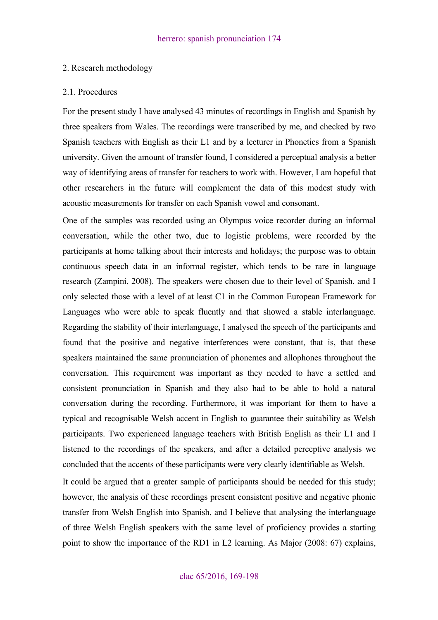#### 2. Research methodology

#### 2.1. Procedures

For the present study I have analysed 43 minutes of recordings in English and Spanish by three speakers from Wales. The recordings were transcribed by me, and checked by two Spanish teachers with English as their L1 and by a lecturer in Phonetics from a Spanish university. Given the amount of transfer found, I considered a perceptual analysis a better way of identifying areas of transfer for teachers to work with. However, I am hopeful that other researchers in the future will complement the data of this modest study with acoustic measurements for transfer on each Spanish vowel and consonant.

One of the samples was recorded using an Olympus voice recorder during an informal conversation, while the other two, due to logistic problems, were recorded by the participants at home talking about their interests and holidays; the purpose was to obtain continuous speech data in an informal register, which tends to be rare in language research (Zampini, 2008). The speakers were chosen due to their level of Spanish, and I only selected those with a level of at least C1 in the Common European Framework for Languages who were able to speak fluently and that showed a stable interlanguage. Regarding the stability of their interlanguage, I analysed the speech of the participants and found that the positive and negative interferences were constant, that is, that these speakers maintained the same pronunciation of phonemes and allophones throughout the conversation. This requirement was important as they needed to have a settled and consistent pronunciation in Spanish and they also had to be able to hold a natural conversation during the recording. Furthermore, it was important for them to have a typical and recognisable Welsh accent in English to guarantee their suitability as Welsh participants. Two experienced language teachers with British English as their L1 and I listened to the recordings of the speakers, and after a detailed perceptive analysis we concluded that the accents of these participants were very clearly identifiable as Welsh.

It could be argued that a greater sample of participants should be needed for this study; however, the analysis of these recordings present consistent positive and negative phonic transfer from Welsh English into Spanish, and I believe that analysing the interlanguage of three Welsh English speakers with the same level of proficiency provides a starting point to show the importance of the RD1 in L2 learning. As Major (2008: 67) explains,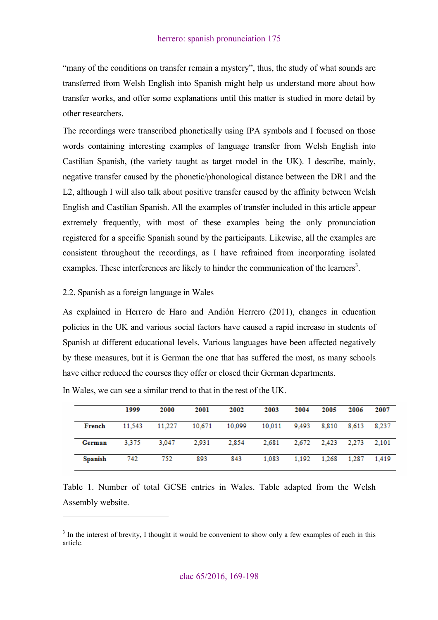"many of the conditions on transfer remain a mystery", thus, the study of what sounds are transferred from Welsh English into Spanish might help us understand more about how transfer works, and offer some explanations until this matter is studied in more detail by other researchers.

The recordings were transcribed phonetically using IPA symbols and I focused on those words containing interesting examples of language transfer from Welsh English into Castilian Spanish, (the variety taught as target model in the UK). I describe, mainly, negative transfer caused by the phonetic/phonological distance between the DR1 and the L2, although I will also talk about positive transfer caused by the affinity between Welsh English and Castilian Spanish. All the examples of transfer included in this article appear extremely frequently, with most of these examples being the only pronunciation registered for a specific Spanish sound by the participants. Likewise, all the examples are consistent throughout the recordings, as I have refrained from incorporating isolated examples. These interferences are likely to hinder the communication of the learners<sup>3</sup>.

#### 2.2. Spanish as a foreign language in Wales

 $\overline{a}$ 

As explained in Herrero de Haro and Andión Herrero (2011), changes in education policies in the UK and various social factors have caused a rapid increase in students of Spanish at different educational levels. Various languages have been affected negatively by these measures, but it is German the one that has suffered the most, as many schools have either reduced the courses they offer or closed their German departments.

|                | 1999   | 2000   | 2001   | 2002   | 2003   | 2004  | 2005              | 2006        | 2007  |
|----------------|--------|--------|--------|--------|--------|-------|-------------------|-------------|-------|
| French         | 11.543 | 11.227 | 10,671 | 10,099 | 10.011 | 9.493 | 8.810             | 8.613 8.237 |       |
| German         | 3.375  | 3.047  | 2.931  | 2,854  | 2,681  |       | 2.672 2.423 2.273 |             | 2.101 |
| <b>Spanish</b> | 742    | 752    | 893    | 843    | 1.083  |       | 1.192 1.268 1.287 |             | 1.419 |

In Wales, we can see a similar trend to that in the rest of the UK.

Table 1. Number of total GCSE entries in Wales. Table adapted from the Welsh Assembly website.

 $3$  In the interest of brevity, I thought it would be convenient to show only a few examples of each in this article.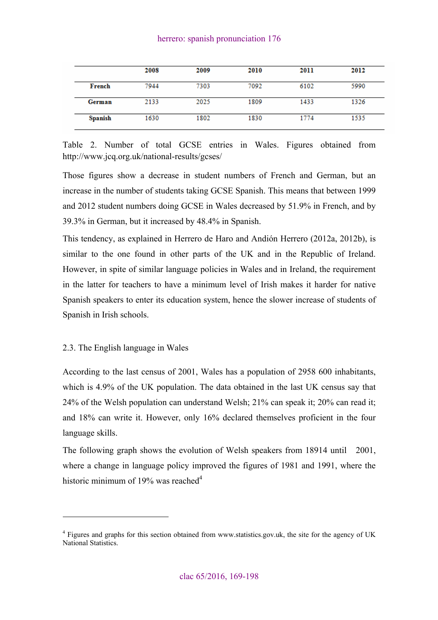|         | 2008 | 2009 | 2010 | 2011 | 2012 |
|---------|------|------|------|------|------|
| French  | 7944 | 7303 | 7092 | 6102 | 5990 |
| German  | 2133 | 2025 | 1809 | 1433 | 1326 |
| Spanish | 1630 | 1802 | 1830 | 1774 | 1535 |

Table 2. Number of total GCSE entries in Wales. Figures obtained from http://www.jcq.org.uk/national-results/gcses/

Those figures show a decrease in student numbers of French and German, but an increase in the number of students taking GCSE Spanish. This means that between 1999 and 2012 student numbers doing GCSE in Wales decreased by 51.9% in French, and by 39.3% in German, but it increased by 48.4% in Spanish.

This tendency, as explained in Herrero de Haro and Andión Herrero (2012a, 2012b), is similar to the one found in other parts of the UK and in the Republic of Ireland. However, in spite of similar language policies in Wales and in Ireland, the requirement in the latter for teachers to have a minimum level of Irish makes it harder for native Spanish speakers to enter its education system, hence the slower increase of students of Spanish in Irish schools.

## 2.3. The English language in Wales

 $\overline{a}$ 

According to the last census of 2001, Wales has a population of 2958 600 inhabitants, which is 4.9% of the UK population. The data obtained in the last UK census say that 24% of the Welsh population can understand Welsh; 21% can speak it; 20% can read it; and 18% can write it. However, only 16% declared themselves proficient in the four language skills.

The following graph shows the evolution of Welsh speakers from 18914 until 2001, where a change in language policy improved the figures of 1981 and 1991, where the historic minimum of 19% was reached $4$ 

<sup>&</sup>lt;sup>4</sup> Figures and graphs for this section obtained from www.statistics.gov.uk, the site for the agency of UK National Statistics.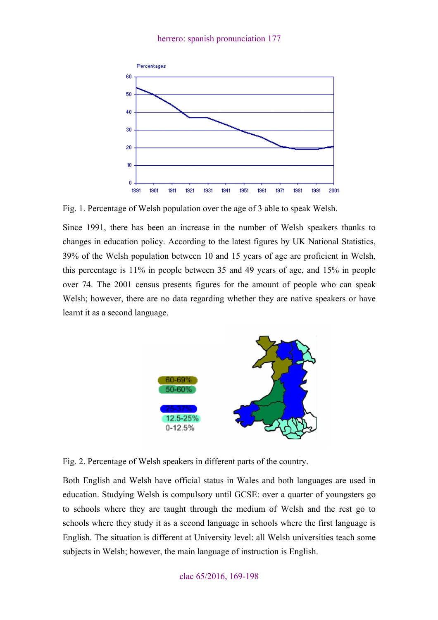

Fig. 1. Percentage of Welsh population over the age of 3 able to speak Welsh.

Since 1991, there has been an increase in the number of Welsh speakers thanks to changes in education policy. According to the latest figures by UK National Statistics, 39% of the Welsh population between 10 and 15 years of age are proficient in Welsh, this percentage is 11% in people between 35 and 49 years of age, and 15% in people over 74. The 2001 census presents figures for the amount of people who can speak Welsh; however, there are no data regarding whether they are native speakers or have learnt it as a second language.



Fig. 2. Percentage of Welsh speakers in different parts of the country.

Both English and Welsh have official status in Wales and both languages are used in education. Studying Welsh is compulsory until GCSE: over a quarter of youngsters go to schools where they are taught through the medium of Welsh and the rest go to schools where they study it as a second language in schools where the first language is English. The situation is different at University level: all Welsh universities teach some subjects in Welsh; however, the main language of instruction is English.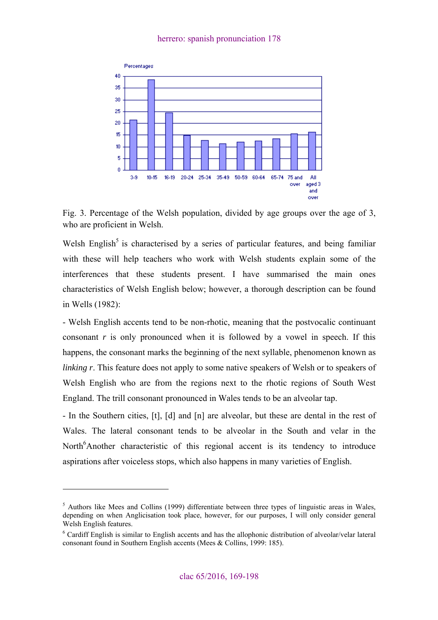

Fig. 3. Percentage of the Welsh population, divided by age groups over the age of 3, who are proficient in Welsh.

Welsh English<sup>5</sup> is characterised by a series of particular features, and being familiar with these will help teachers who work with Welsh students explain some of the interferences that these students present. I have summarised the main ones characteristics of Welsh English below; however, a thorough description can be found in Wells (1982):

- Welsh English accents tend to be non-rhotic, meaning that the postvocalic continuant consonant *r* is only pronounced when it is followed by a vowel in speech. If this happens, the consonant marks the beginning of the next syllable, phenomenon known as *linking r.* This feature does not apply to some native speakers of Welsh or to speakers of Welsh English who are from the regions next to the rhotic regions of South West England. The trill consonant pronounced in Wales tends to be an alveolar tap.

- In the Southern cities, [t], [d] and [n] are alveolar, but these are dental in the rest of Wales. The lateral consonant tends to be alveolar in the South and velar in the North<sup>6</sup>Another characteristic of this regional accent is its tendency to introduce aspirations after voiceless stops, which also happens in many varieties of English.

<sup>&</sup>lt;sup>5</sup> Authors like Mees and Collins (1999) differentiate between three types of linguistic areas in Wales, depending on when Anglicisation took place, however, for our purposes, I will only consider general Welsh English features.

<sup>&</sup>lt;sup>6</sup> Cardiff English is similar to English accents and has the allophonic distribution of alveolar/velar lateral consonant found in Southern English accents (Mees & Collins, 1999: 185).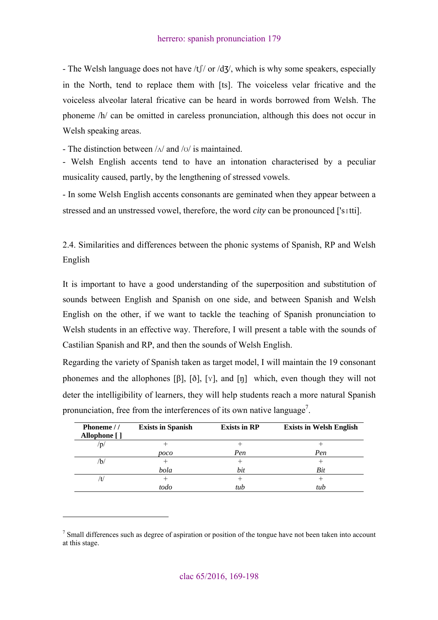- The Welsh language does not have  $/tf /$  or  $/d\zeta$ , which is why some speakers, especially in the North, tend to replace them with [ts]. The voiceless velar fricative and the voiceless alveolar lateral fricative can be heard in words borrowed from Welsh. The phoneme /h/ can be omitted in careless pronunciation, although this does not occur in Welsh speaking areas.

- The distinction between /ʌ/ and /ʊ/ is maintained.

- Welsh English accents tend to have an intonation characterised by a peculiar musicality caused, partly, by the lengthening of stressed vowels.

- In some Welsh English accents consonants are geminated when they appear between a stressed and an unstressed vowel, therefore, the word *city* can be pronounced ['sɪtti].

2.4. Similarities and differences between the phonic systems of Spanish, RP and Welsh English

It is important to have a good understanding of the superposition and substitution of sounds between English and Spanish on one side, and between Spanish and Welsh English on the other, if we want to tackle the teaching of Spanish pronunciation to Welsh students in an effective way. Therefore, I will present a table with the sounds of Castilian Spanish and RP, and then the sounds of Welsh English.

Regarding the variety of Spanish taken as target model, I will maintain the 19 consonant phonemes and the allophones  $[\beta]$ ,  $[\delta]$ ,  $[v]$ , and  $[\eta]$  which, even though they will not deter the intelligibility of learners, they will help students reach a more natural Spanish pronunciation, free from the interferences of its own native language<sup>7</sup>.

| Phoneme //<br>Allophone [ ] | <b>Exists in Spanish</b> | <b>Exists in RP</b> | <b>Exists in Welsh English</b> |
|-----------------------------|--------------------------|---------------------|--------------------------------|
| 'p                          |                          |                     |                                |
|                             | poco                     | Pen                 | Pen                            |
| Ъ,                          |                          |                     |                                |
|                             | bola                     | bit                 | Bit                            |
| 't                          |                          |                     |                                |
|                             | todo                     | tub                 | tub                            |

 $<sup>7</sup>$  Small differences such as degree of aspiration or position of the tongue have not been taken into account</sup> at this stage.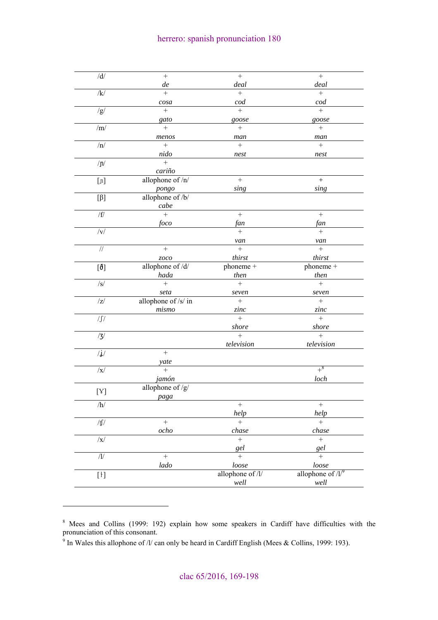| $/d/$                                                                                                                                                                                                                                                                                                                                                                                                                                                                                                                                                                                                                                                | $\qquad \qquad +$   | $\qquad \qquad +$      | $\qquad \qquad +$              |
|------------------------------------------------------------------------------------------------------------------------------------------------------------------------------------------------------------------------------------------------------------------------------------------------------------------------------------------------------------------------------------------------------------------------------------------------------------------------------------------------------------------------------------------------------------------------------------------------------------------------------------------------------|---------------------|------------------------|--------------------------------|
|                                                                                                                                                                                                                                                                                                                                                                                                                                                                                                                                                                                                                                                      | de                  | deal                   | deal                           |
| $\overline{\mathbf{k}}$                                                                                                                                                                                                                                                                                                                                                                                                                                                                                                                                                                                                                              | $\ddot{}$           | $\ddot{}$              | $\ddot{}$                      |
|                                                                                                                                                                                                                                                                                                                                                                                                                                                                                                                                                                                                                                                      | cosa                | cod                    | cod                            |
| /g/                                                                                                                                                                                                                                                                                                                                                                                                                                                                                                                                                                                                                                                  | $\ddot{}$           | $+$                    | $\ddot{}$                      |
|                                                                                                                                                                                                                                                                                                                                                                                                                                                                                                                                                                                                                                                      | gato                | goose                  | goose                          |
| $/\mathrm{m}/$                                                                                                                                                                                                                                                                                                                                                                                                                                                                                                                                                                                                                                       | $^{+}$              | $^{+}$                 | $^{+}$                         |
|                                                                                                                                                                                                                                                                                                                                                                                                                                                                                                                                                                                                                                                      | menos               | man                    | man                            |
| /n/                                                                                                                                                                                                                                                                                                                                                                                                                                                                                                                                                                                                                                                  |                     | $\ddot{}$              | $\ddot{}$                      |
|                                                                                                                                                                                                                                                                                                                                                                                                                                                                                                                                                                                                                                                      | nido                | nest                   | nest                           |
| $/ \eta /$                                                                                                                                                                                                                                                                                                                                                                                                                                                                                                                                                                                                                                           | $+$                 |                        |                                |
|                                                                                                                                                                                                                                                                                                                                                                                                                                                                                                                                                                                                                                                      | cariño              |                        |                                |
| $[{\mathfrak{n}}] % \centering \includegraphics[width=\textwidth]{images/Traj_48.png} % \caption{The figure shows the results of the estimators in the left hand side.} \label{fig:Traj_48}$                                                                                                                                                                                                                                                                                                                                                                                                                                                         | allophone of /n/    | $^{+}$                 | $\boldsymbol{+}$               |
|                                                                                                                                                                                                                                                                                                                                                                                                                                                                                                                                                                                                                                                      | pongo               | sing                   | sing                           |
| $\left[ \beta \right] % \begin{minipage}[b]{.45\linewidth} \centering \includegraphics[width=\textwidth]{figs/fig_4b} \caption{The number of different models in the left and right.} \label{fig:1} \end{minipage} \vspace{0.05\linewidth} \begin{minipage}[b]{.45\linewidth} \centering \includegraphics[width=\textwidth]{figs/fig_4b} \caption{The number of different models in the right and right.} \label{fig:1} \end{minipage} \vspace{0.05\linewidth} \begin{minipage}[b]{.45\linewidth} \centering \includegraphics[width=\textwidth]{figs/fig_4b} \centering \includegraphics[width=\textwidth]{figs/fig_4b} \centering \includegraphics$ | allophone of /b/    |                        |                                |
|                                                                                                                                                                                                                                                                                                                                                                                                                                                                                                                                                                                                                                                      | cabe                |                        |                                |
| $\sqrt{f}$                                                                                                                                                                                                                                                                                                                                                                                                                                                                                                                                                                                                                                           | $^{+}$              | $+$                    | $+$                            |
|                                                                                                                                                                                                                                                                                                                                                                                                                                                                                                                                                                                                                                                      | foco                | fan                    | fan                            |
| $/\mathrm{V}/$                                                                                                                                                                                                                                                                                                                                                                                                                                                                                                                                                                                                                                       |                     | $+$                    | $\ddot{}$                      |
|                                                                                                                                                                                                                                                                                                                                                                                                                                                                                                                                                                                                                                                      |                     | van                    | van                            |
| $\overline{1}$                                                                                                                                                                                                                                                                                                                                                                                                                                                                                                                                                                                                                                       | $\ddot{}$           | $+$                    | $\ddot{}$                      |
|                                                                                                                                                                                                                                                                                                                                                                                                                                                                                                                                                                                                                                                      | zoco                | thirst                 | thirst                         |
| $[\boldsymbol{\delta}]$                                                                                                                                                                                                                                                                                                                                                                                                                                                                                                                                                                                                                              | allophone of /d/    | $\overline{phoneme}$ + | phoneme +                      |
|                                                                                                                                                                                                                                                                                                                                                                                                                                                                                                                                                                                                                                                      | hada                | then                   | then                           |
| $\sqrt{s/}$                                                                                                                                                                                                                                                                                                                                                                                                                                                                                                                                                                                                                                          | $\ddot{}$           | $\ddot{}$              | $\overline{+}$                 |
|                                                                                                                                                                                                                                                                                                                                                                                                                                                                                                                                                                                                                                                      | seta                | seven                  | seven                          |
| z                                                                                                                                                                                                                                                                                                                                                                                                                                                                                                                                                                                                                                                    | allophone of /s/ in |                        |                                |
|                                                                                                                                                                                                                                                                                                                                                                                                                                                                                                                                                                                                                                                      | mismo               | zinc                   | zinc                           |
| $/\int$                                                                                                                                                                                                                                                                                                                                                                                                                                                                                                                                                                                                                                              |                     | $+$                    | $+$                            |
|                                                                                                                                                                                                                                                                                                                                                                                                                                                                                                                                                                                                                                                      |                     | shore                  | shore                          |
| /3/                                                                                                                                                                                                                                                                                                                                                                                                                                                                                                                                                                                                                                                  |                     | $+$                    | $^{+}$                         |
|                                                                                                                                                                                                                                                                                                                                                                                                                                                                                                                                                                                                                                                      |                     | television             | television                     |
| $/\mathbf{j}/% \mathbf{k}$                                                                                                                                                                                                                                                                                                                                                                                                                                                                                                                                                                                                                           | $\qquad \qquad +$   |                        |                                |
|                                                                                                                                                                                                                                                                                                                                                                                                                                                                                                                                                                                                                                                      | yate                |                        |                                |
| $ {\bf x} $                                                                                                                                                                                                                                                                                                                                                                                                                                                                                                                                                                                                                                          | $+$                 |                        | $+$ <sup>8</sup>               |
|                                                                                                                                                                                                                                                                                                                                                                                                                                                                                                                                                                                                                                                      | jamón               |                        | loch                           |
| [Y]                                                                                                                                                                                                                                                                                                                                                                                                                                                                                                                                                                                                                                                  | allophone of /g/    |                        |                                |
|                                                                                                                                                                                                                                                                                                                                                                                                                                                                                                                                                                                                                                                      | paga                |                        |                                |
| /h/                                                                                                                                                                                                                                                                                                                                                                                                                                                                                                                                                                                                                                                  |                     | $^+$                   | $^+$                           |
|                                                                                                                                                                                                                                                                                                                                                                                                                                                                                                                                                                                                                                                      |                     | help                   | help                           |
| / $f/$                                                                                                                                                                                                                                                                                                                                                                                                                                                                                                                                                                                                                                               | $+$                 | $+$                    | $+$                            |
|                                                                                                                                                                                                                                                                                                                                                                                                                                                                                                                                                                                                                                                      | ocho                | chase                  | chase                          |
| $\sqrt{x}$                                                                                                                                                                                                                                                                                                                                                                                                                                                                                                                                                                                                                                           |                     | $\ddot{}$              | $\ddot{}$                      |
|                                                                                                                                                                                                                                                                                                                                                                                                                                                                                                                                                                                                                                                      |                     | gel                    | gel                            |
| $/{\cal U}$                                                                                                                                                                                                                                                                                                                                                                                                                                                                                                                                                                                                                                          | $\ddot{}$           | $\ddot{}$              | $\ddot{}$                      |
|                                                                                                                                                                                                                                                                                                                                                                                                                                                                                                                                                                                                                                                      | lado                | loose                  | loose                          |
| $[ \, \mathbf{1} \, ]$                                                                                                                                                                                                                                                                                                                                                                                                                                                                                                                                                                                                                               |                     | allophone of /l/       | allophone of $/l$ <sup>9</sup> |
|                                                                                                                                                                                                                                                                                                                                                                                                                                                                                                                                                                                                                                                      |                     | well                   | $well$                         |
|                                                                                                                                                                                                                                                                                                                                                                                                                                                                                                                                                                                                                                                      |                     |                        |                                |

<sup>&</sup>lt;sup>8</sup> Mees and Collins (1999: 192) explain how some speakers in Cardiff have difficulties with the pronunciation of this consonant.

<sup>&</sup>lt;sup>9</sup> In Wales this allophone of /l/ can only be heard in Cardiff English (Mees & Collins, 1999: 193).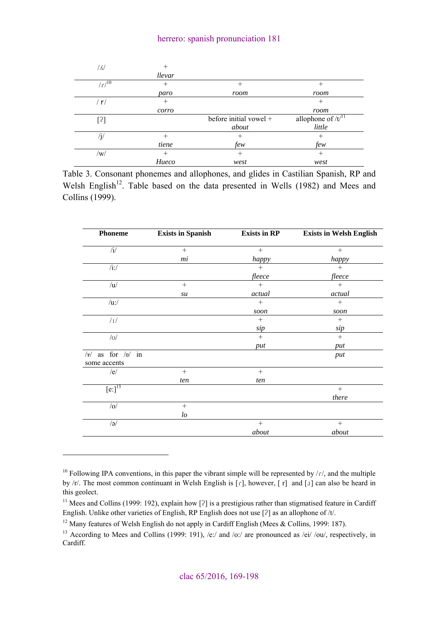| / N        | $^{+}$ |                        |                        |
|------------|--------|------------------------|------------------------|
|            | llevar |                        |                        |
| $(r)^{10}$ | $^{+}$ | $^{+}$                 | $\,{}^{+}\,$           |
|            | paro   | room                   | room                   |
| / r/       | $^{+}$ |                        | $^{+}$                 |
|            | corro  |                        | room                   |
| $[?]$      |        | before initial vowel + | allophone of $/t^{11}$ |
|            |        | about                  | little                 |
| $\sqrt{j}$ |        | $\pm$                  | $\,{}^{+}\,$           |
|            | tiene  | few                    | few                    |
|            |        |                        |                        |
| /w/        | $^{+}$ | $^{+}$                 | $^{+}$                 |

Table 3. Consonant phonemes and allophones, and glides in Castilian Spanish, RP and Welsh English<sup>12</sup>. Table based on the data presented in Wells (1982) and Mees and Collins (1999).

| <b>Phoneme</b>                | <b>Exists in Spanish</b> | <b>Exists in RP</b> | <b>Exists in Welsh English</b> |
|-------------------------------|--------------------------|---------------------|--------------------------------|
| /i/                           | $+$                      | $+$                 | $+$                            |
|                               | mi                       | happy               | happy                          |
| $/i$ :/                       |                          | $+$                 | $+$                            |
|                               |                          | fleece              | fleece                         |
| /u/                           | $\! + \!\!\!\!$          | $+$                 | $+$                            |
|                               | su                       | actual              | actual                         |
| $/u$ :/                       |                          | $+$                 | $+$                            |
|                               |                          | soon                | soon                           |
| /1/                           |                          | $\! + \!\!\!\!$     | $+$                            |
|                               |                          | sip                 | sip                            |
| $\sqrt{O}$                    |                          | $+$                 | $+$                            |
|                               |                          | put                 | put                            |
| as for $/v/$ in<br>$ \gamma $ |                          |                     | put                            |
| some accents                  |                          |                     |                                |
| /e/                           | $^{+}$                   | $+$                 |                                |
|                               | ten                      | ten                 |                                |
| [e:] <sup>13</sup>            |                          |                     | $+$                            |
|                               |                          |                     | there                          |
| / o/                          | $+$                      |                     |                                |
|                               | $\iota$                  |                     |                                |
| $\sqrt{a}$                    |                          | $+$                 | $+$                            |
|                               |                          | about               | about                          |

<sup>&</sup>lt;sup>10</sup> Following IPA conventions, in this paper the vibrant simple will be represented by  $\frac{r}{r}$ , and the multiple by /r/. The most common continuant in Welsh English is [ɾ], however, [ r] and [ɹ] can also be heard in this geolect.

<sup>&</sup>lt;sup>11</sup> Mees and Collins (1999: 192), explain how  $[2]$  is a prestigious rather than stigmatised feature in Cardiff English. Unlike other varieties of English, RP English does not use [?] as an allophone of /t/.

<sup>&</sup>lt;sup>12</sup> Many features of Welsh English do not apply in Cardiff English (Mees & Collins, 1999: 187).<br><sup>13</sup> According to Mees and Collins (1999: 191), /e:/ and /o:/ are pronounced as /ei/ /ou/, respectively, in Cardiff.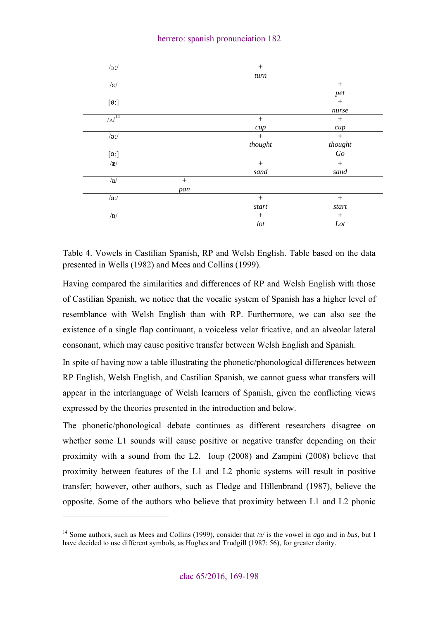### herrero: spanish pronunciation 182

| /3:             |     | $+$            |                          |
|-----------------|-----|----------------|--------------------------|
|                 |     | turn           |                          |
| $/\varepsilon/$ |     |                |                          |
|                 |     |                | pet                      |
| [Ø:]            |     |                | $^{+}$                   |
|                 |     |                | nurse                    |
| $/\Lambda^{14}$ |     | $+$            | $^{+}$                   |
|                 |     | cup            | cup                      |
| $/o$ :/         |     | $+$            | $+$                      |
|                 |     | thought        | thought                  |
| [3:]            |     |                | $\mathcal{G}\mathcal{o}$ |
| $\mathcal{R}/$  |     | $+$            | $+$                      |
|                 |     | sand           | sand                     |
| /a/             | $+$ |                |                          |
|                 | pan |                |                          |
| /ai/            |     | $+$            | $+$                      |
|                 |     | $\emph{start}$ | $\emph{start}$           |
| /D/             |     |                | $^{+}$                   |
|                 |     | $\,$           | Lot                      |

Table 4. Vowels in Castilian Spanish, RP and Welsh English. Table based on the data presented in Wells (1982) and Mees and Collins (1999).

Having compared the similarities and differences of RP and Welsh English with those of Castilian Spanish, we notice that the vocalic system of Spanish has a higher level of resemblance with Welsh English than with RP. Furthermore, we can also see the existence of a single flap continuant, a voiceless velar fricative, and an alveolar lateral consonant, which may cause positive transfer between Welsh English and Spanish.

In spite of having now a table illustrating the phonetic/phonological differences between RP English, Welsh English, and Castilian Spanish, we cannot guess what transfers will appear in the interlanguage of Welsh learners of Spanish, given the conflicting views expressed by the theories presented in the introduction and below.

The phonetic/phonological debate continues as different researchers disagree on whether some L1 sounds will cause positive or negative transfer depending on their proximity with a sound from the L2. Ioup (2008) and Zampini (2008) believe that proximity between features of the L1 and L2 phonic systems will result in positive transfer; however, other authors, such as Fledge and Hillenbrand (1987), believe the opposite. Some of the authors who believe that proximity between L1 and L2 phonic

<sup>14</sup> Some authors, such as Mees and Collins (1999), consider that /ə/ is the vowel in *ago* and in *bus*, but I have decided to use different symbols, as Hughes and Trudgill (1987: 56), for greater clarity.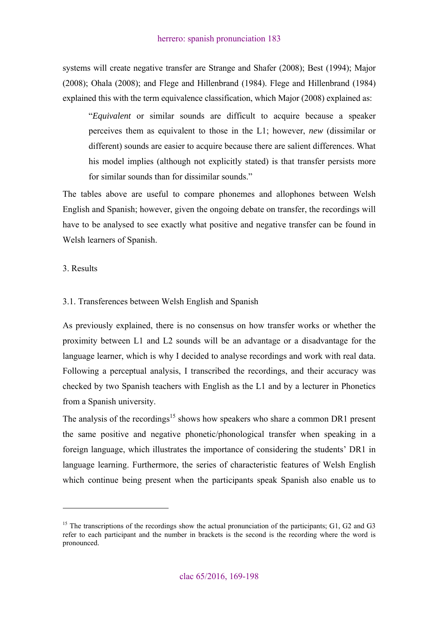systems will create negative transfer are Strange and Shafer (2008); Best (1994); Major (2008); Ohala (2008); and Flege and Hillenbrand (1984). Flege and Hillenbrand (1984) explained this with the term equivalence classification, which Major (2008) explained as:

"*Equivalent* or similar sounds are difficult to acquire because a speaker perceives them as equivalent to those in the L1; however, *new* (dissimilar or different) sounds are easier to acquire because there are salient differences. What his model implies (although not explicitly stated) is that transfer persists more for similar sounds than for dissimilar sounds."

The tables above are useful to compare phonemes and allophones between Welsh English and Spanish; however, given the ongoing debate on transfer, the recordings will have to be analysed to see exactly what positive and negative transfer can be found in Welsh learners of Spanish.

### 3. Results

 $\overline{a}$ 

## 3.1. Transferences between Welsh English and Spanish

As previously explained, there is no consensus on how transfer works or whether the proximity between L1 and L2 sounds will be an advantage or a disadvantage for the language learner, which is why I decided to analyse recordings and work with real data. Following a perceptual analysis, I transcribed the recordings, and their accuracy was checked by two Spanish teachers with English as the L1 and by a lecturer in Phonetics from a Spanish university.

The analysis of the recordings<sup>15</sup> shows how speakers who share a common DR1 present the same positive and negative phonetic/phonological transfer when speaking in a foreign language, which illustrates the importance of considering the students' DR1 in language learning. Furthermore, the series of characteristic features of Welsh English which continue being present when the participants speak Spanish also enable us to

<sup>&</sup>lt;sup>15</sup> The transcriptions of the recordings show the actual pronunciation of the participants; G1, G2 and G3 refer to each participant and the number in brackets is the second is the recording where the word is pronounced.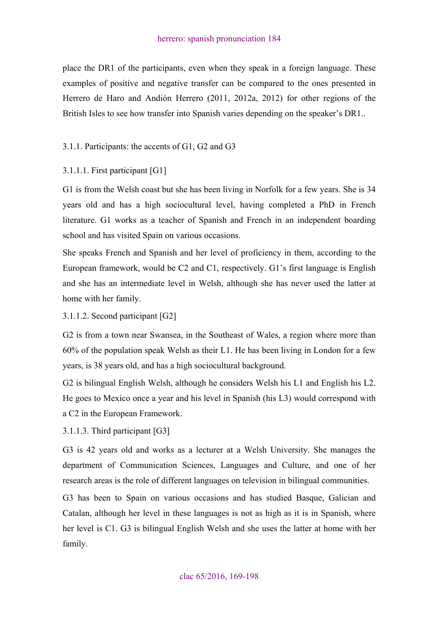place the DR1 of the participants, even when they speak in a foreign language. These examples of positive and negative transfer can be compared to the ones presented in Herrero de Haro and Andión Herrero (2011, 2012a, 2012) for other regions of the British Isles to see how transfer into Spanish varies depending on the speaker's DR1..

## 3.1.1. Participants: the accents of G1, G2 and G3

## 3.1.1.1. First participant [G1]

G1 is from the Welsh coast but she has been living in Norfolk for a few years. She is 34 years old and has a high sociocultural level, having completed a PhD in French literature. G1 works as a teacher of Spanish and French in an independent boarding school and has visited Spain on various occasions.

She speaks French and Spanish and her level of proficiency in them, according to the European framework, would be C2 and C1, respectively. G1's first language is English and she has an intermediate level in Welsh, although she has never used the latter at home with her family.

## 3.1.1.2. Second participant [G2]

G2 is from a town near Swansea, in the Southeast of Wales, a region where more than 60% of the population speak Welsh as their L1. He has been living in London for a few years, is 38 years old, and has a high sociocultural background.

G2 is bilingual English Welsh, although he considers Welsh his L1 and English his L2. He goes to Mexico once a year and his level in Spanish (his L3) would correspond with a C2 in the European Framework.

3.1.1.3. Third participant [G3]

G3 is 42 years old and works as a lecturer at a Welsh University. She manages the department of Communication Sciences, Languages and Culture, and one of her research areas is the role of different languages on television in bilingual communities.

G3 has been to Spain on various occasions and has studied Basque, Galician and Catalan, although her level in these languages is not as high as it is in Spanish, where her level is C1. G3 is bilingual English Welsh and she uses the latter at home with her family.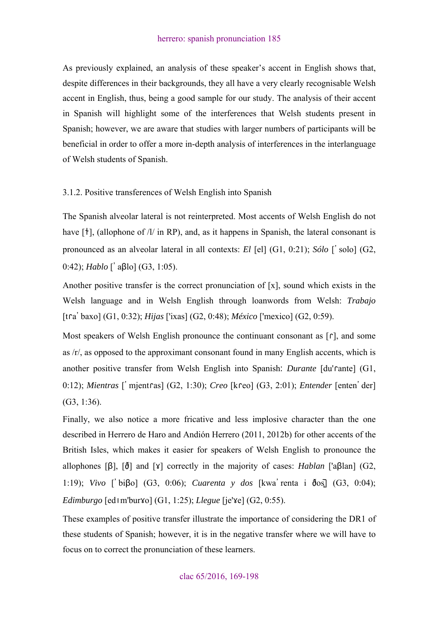As previously explained, an analysis of these speaker's accent in English shows that, despite differences in their backgrounds, they all have a very clearly recognisable Welsh accent in English, thus, being a good sample for our study. The analysis of their accent in Spanish will highlight some of the interferences that Welsh students present in Spanish; however, we are aware that studies with larger numbers of participants will be beneficial in order to offer a more in-depth analysis of interferences in the interlanguage of Welsh students of Spanish.

3.1.2. Positive transferences of Welsh English into Spanish

The Spanish alveolar lateral is not reinterpreted. Most accents of Welsh English do not have  $[\dagger]$ , (allophone of  $\Delta$  in RP), and, as it happens in Spanish, the lateral consonant is pronounced as an alveolar lateral in all contexts: *El* [el] (G1, 0:21); *Sólo* ['solo] (G2, 0:42); *Hablo* ['aβlo] (G3, 1:05).

Another positive transfer is the correct pronunciation of [x], sound which exists in the Welsh language and in Welsh English through loanwords from Welsh: *Trabajo*  [tɾa'baxo] (G1, 0:32); *Hijas* ['ixas] (G2, 0:48); *México* ['mexico] (G2, 0:59).

Most speakers of Welsh English pronounce the continuant consonant as  $\lceil \cdot \rceil$ , and some as /r/, as opposed to the approximant consonant found in many English accents, which is another positive transfer from Welsh English into Spanish: *Durante* [du'ɾante] (G1, 0:12); *Mientras* ['mjentɾas] (G2, 1:30); *Creo* [kɾeo] (G3, 2:01); *Entender* [enten'der] (G3, 1:36).

Finally, we also notice a more fricative and less implosive character than the one described in Herrero de Haro and Andión Herrero (2011, 2012b) for other accents of the British Isles, which makes it easier for speakers of Welsh English to pronounce the allophones [β], [ð] and [ɣ] correctly in the majority of cases: *Hablan* ['aβlan] (G2, 1:19); *Vivo* ['biβo] (G3, 0:06); *Cuarenta y dos* [kwa'renta i ðos̻̄] (G3, 0:04); *Edimburgo* [edɪm'burɣo] (G1, 1:25); *Llegue* [je'ɣe] (G2, 0:55).

These examples of positive transfer illustrate the importance of considering the DR1 of these students of Spanish; however, it is in the negative transfer where we will have to focus on to correct the pronunciation of these learners.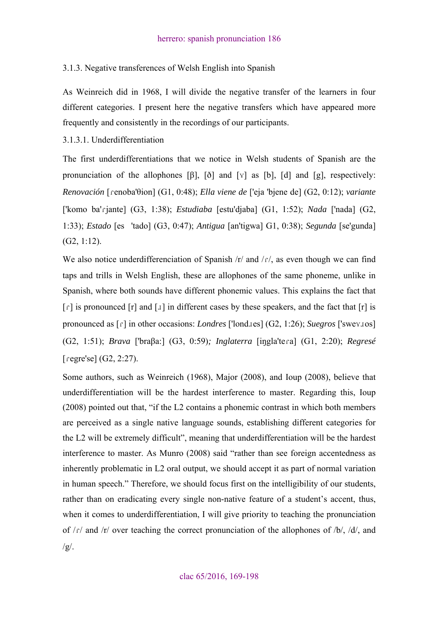## 3.1.3. Negative transferences of Welsh English into Spanish

As Weinreich did in 1968, I will divide the negative transfer of the learners in four different categories. I present here the negative transfers which have appeared more frequently and consistently in the recordings of our participants.

3.1.3.1. Underdifferentiation

The first underdifferentiations that we notice in Welsh students of Spanish are the pronunciation of the allophones  $[\beta]$ ,  $[\delta]$  and  $[\gamma]$  as  $[\mathfrak{b}]$ ,  $[\mathfrak{d}]$  and  $[\mathfrak{g}]$ , respectively: *Renovación* [ɾenoba'θion] (G1, 0:48); *Ella viene de* ['eja 'bjene de] (G2, 0:12); *variante* ['komo ba'ɾjante] (G3, 1:38); *Estudiaba* [estu'djaba] (G1, 1:52); *Nada* ['nada] (G2, 1:33); *Estado* [es'tado] (G3, 0:47); *Antigua* [an'tigwa] G1, 0:38); *Segunda* [se'gunda] (G2, 1:12).

We also notice underdifferenciation of Spanish  $/r/$  and  $/r/$ , as even though we can find taps and trills in Welsh English, these are allophones of the same phoneme, unlike in Spanish, where both sounds have different phonemic values. This explains the fact that  $\lceil$  f is pronounced  $\lceil$  f and  $\lceil$  and  $\lceil$  in different cases by these speakers, and the fact that  $\lceil$  f is pronounced as  $\lceil \cdot \rceil$  in other occasions: *Londres* ['lond*aes*] (G2, 1:26); *Suegros* ['swey*as*] (G2, 1:51); *Brava* ['braβa:] (G3, 0:59)*; Inglaterra* [iŋgla'teɾa] (G1, 2:20); *Regresé*   $[regre'sel (G2, 2:27)]$ .

Some authors, such as Weinreich (1968), Major (2008), and Ioup (2008), believe that underdifferentiation will be the hardest interference to master. Regarding this, Ioup (2008) pointed out that, "if the L2 contains a phonemic contrast in which both members are perceived as a single native language sounds, establishing different categories for the L2 will be extremely difficult", meaning that underdifferentiation will be the hardest interference to master. As Munro (2008) said "rather than see foreign accentedness as inherently problematic in L2 oral output, we should accept it as part of normal variation in human speech." Therefore, we should focus first on the intelligibility of our students, rather than on eradicating every single non-native feature of a student's accent, thus, when it comes to under differentiation, I will give priority to teaching the pronunciation of  $\frac{f}{f}$  and  $\frac{f}{f}$  over teaching the correct pronunciation of the allophones of  $\frac{f}{f}$ ,  $\frac{f}{f}$ , and  $/g/$ .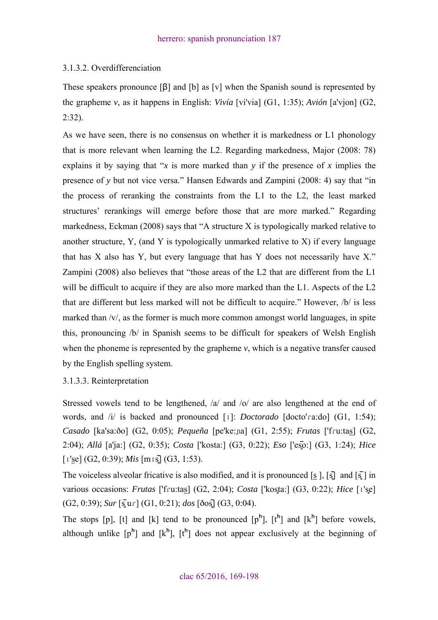## 3.1.3.2. Overdifferenciation

These speakers pronounce [β] and [b] as [v] when the Spanish sound is represented by the grapheme *v*, as it happens in English: *Vivía* [vi'via] (G1, 1:35); *Avión* [a'vjon] (G2, 2:32).

As we have seen, there is no consensus on whether it is markedness or L1 phonology that is more relevant when learning the L2. Regarding markedness, Major (2008: 78) explains it by saying that "*x* is more marked than *y* if the presence of *x* implies the presence of *y* but not vice versa." Hansen Edwards and Zampini (2008: 4) say that "in the process of reranking the constraints from the L1 to the L2, the least marked structures' rerankings will emerge before those that are more marked." Regarding markedness, Eckman (2008) says that "A structure X is typologically marked relative to another structure, Y, (and Y is typologically unmarked relative to X) if every language that has X also has Y, but every language that has Y does not necessarily have X." Zampini (2008) also believes that "those areas of the L2 that are different from the L1 will be difficult to acquire if they are also more marked than the L1. Aspects of the L2 that are different but less marked will not be difficult to acquire." However, /b/ is less marked than /v/, as the former is much more common amongst world languages, in spite this, pronouncing /b/ in Spanish seems to be difficult for speakers of Welsh English when the phoneme is represented by the grapheme  $v$ , which is a negative transfer caused by the English spelling system.

## 3.1.3.3. Reinterpretation

Stressed vowels tend to be lengthened,  $\alpha$  and  $\alpha$  are also lengthened at the end of words, and /i/ is backed and pronounced [ɪ]: *Doctorado* [docto'ɾa:do] (G1, 1:54); *Casado* [ka'sa:ðo] (G2, 0:05); *Pequeña* [pe'ke:ɲa] (G1, 2:55); *Frutas* ['fɾu:tas] (G2, 2:04); *Allá* [a'ja:] (G2, 0:35); *Costa* ['kosta:] (G3, 0:22); *Eso* ['es̻̄o:] (G3, 1:24); *Hice* [ɪ'se] (G2, 0:39); *Mis* [mɪs̻̄] (G3, 1:53).

The voiceless alveolar fricative is also modified, and it is pronounced [s ],  $\boxed{s}$ ] and  $\boxed{s}$ ] in various occasions: *Frutas* ['fɾu:tas] (G2, 2:04); *Costa* ['kos̻ta:] (G3, 0:22); *Hice* [ɪ's̻e] (G2, 0:39); *Sur* [s̻̄ uɾ] (G1, 0:21); *dos* [ðos̻̄] (G3, 0:04).

The stops  $[p]$ ,  $[t]$  and  $[k]$  tend to be pronounced  $[p^h]$ .  $[t^h]$  and  $[k^h]$  before vowels, although unlike  $[p^h]$  and  $[k^h]$ ,  $[t^h]$  does not appear exclusively at the beginning of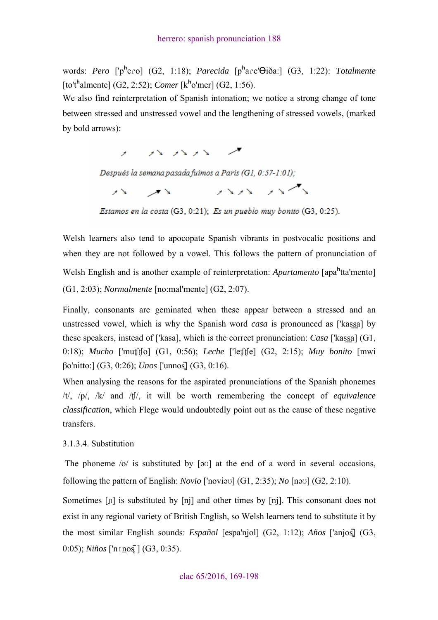words: *Pero* ['p<sup>h</sup>ero] (G2, 1:18); *Parecida* [p<sup>h</sup>are' $\Theta$ iða:] (G3, 1:22): *Totalmente* [to'tʰalmente] (G2, 2:52); *Comer* [kʰo'mer] (G2, 1:56).

We also find reinterpretation of Spanish intonation; we notice a strong change of tone between stressed and unstressed vowel and the lengthening of stressed vowels, (marked by bold arrows):

> $\lambda$   $\lambda$   $\lambda$   $\lambda$   $\lambda$   $\lambda$  $\lambda$

Después la semana pasada fuimos a París (G1, 0:57-1:01);

 $\mathcal{N} = \mathcal{N}$  and  $\mathcal{N} = \mathcal{N}$ 

Estamos en la costa (G3, 0:21); Es un pueblo muy bonito (G3, 0:25).

Welsh learners also tend to apocopate Spanish vibrants in postvocalic positions and when they are not followed by a vowel. This follows the pattern of pronunciation of Welsh English and is another example of reinterpretation: *Apartamento* [apaʰtta'mento] (G1, 2:03); *Normalmente* [no:mal'mente] (G2, 2:07).

Finally, consonants are geminated when these appear between a stressed and an unstressed vowel, which is why the Spanish word *casa* is pronounced as ['kassa] by these speakers, instead of ['kasa], which is the correct pronunciation: *Casa* ['kassa] (G1, 0:18); *Mucho* ['muʧʧo] (G1, 0:56); *Leche* ['leʧʧe] (G2, 2:15); *Muy bonito* [mwi βo'nitto:] (G3, 0:26); *Unos* ['unnos̻̄] (G3, 0:16).

When analysing the reasons for the aspirated pronunciations of the Spanish phonemes /t/, /p/, /k/ and /ʧ/, it will be worth remembering the concept of *equivalence classification*, which Flege would undoubtedly point out as the cause of these negative transfers.

#### 3.1.3.4. Substitution

The phoneme /o/ is substituted by [əʊ] at the end of a word in several occasions, following the pattern of English: *Novio* ['noviəʊ] (G1, 2:35); *No* [nəʊ] (G2, 2:10).

Sometimes [n] is substituted by [nj] and other times by [nj]. This consonant does not exist in any regional variety of British English, so Welsh learners tend to substitute it by the most similar English sounds: *Español* [espa'ṉjol] (G2, 1:12); *Años* ['anjos̻̄] (G3, 0:05); *Niños* ['nɪnos̻̄] (G3, 0:35).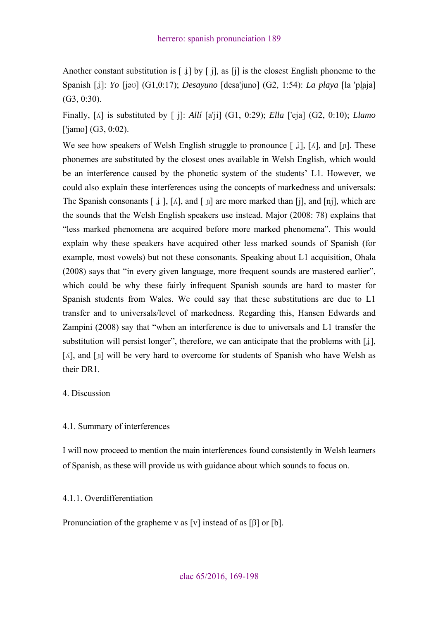Another constant substitution is  $\lceil \frac{1}{6} \rceil$  by  $\lceil \frac{1}{6} \rceil$ , as  $\lceil \frac{1}{6} \rceil$  is the closest English phoneme to the Spanish [ʝ]: *Yo* [jəʊ] (G1,0:17); *Desayuno* [desa'juno] (G2, 1:54): *La playa* [la 'pḻaja] (G3, 0:30).

Finally, [ʎ] is substituted by [ j]: *Allí* [a'ji] (G1, 0:29); *Ella* ['eja] (G2, 0:10); *Llamo* ['jamo] (G3, 0:02).

We see how speakers of Welsh English struggle to pronounce  $\lceil \frac{1}{6} \rceil$ ,  $\lceil \frac{1}{6} \rceil$ , and  $\lceil \frac{1}{2} \rceil$ . These phonemes are substituted by the closest ones available in Welsh English, which would be an interference caused by the phonetic system of the students' L1. However, we could also explain these interferences using the concepts of markedness and universals: The Spanish consonants  $[\dot{\mu}], [\dot{\Lambda}],$  and  $[\dot{\mu}]$  are more marked than  $[\dot{\mu}],$  and  $[\dot{\mu}]\dot{\sigma}$ , which are the sounds that the Welsh English speakers use instead. Major (2008: 78) explains that "less marked phenomena are acquired before more marked phenomena". This would explain why these speakers have acquired other less marked sounds of Spanish (for example, most vowels) but not these consonants. Speaking about L1 acquisition, Ohala (2008) says that "in every given language, more frequent sounds are mastered earlier", which could be why these fairly infrequent Spanish sounds are hard to master for Spanish students from Wales. We could say that these substitutions are due to L1 transfer and to universals/level of markedness. Regarding this, Hansen Edwards and Zampini (2008) say that "when an interference is due to universals and L1 transfer the substitution will persist longer", therefore, we can anticipate that the problems with  $[j]$ , [ $\Lambda$ ], and [n] will be very hard to overcome for students of Spanish who have Welsh as their DR1.

## 4. Discussion

#### 4.1. Summary of interferences

I will now proceed to mention the main interferences found consistently in Welsh learners of Spanish, as these will provide us with guidance about which sounds to focus on.

## 4.1.1. Overdifferentiation

Pronunciation of the grapheme v as [v] instead of as [β] or [b].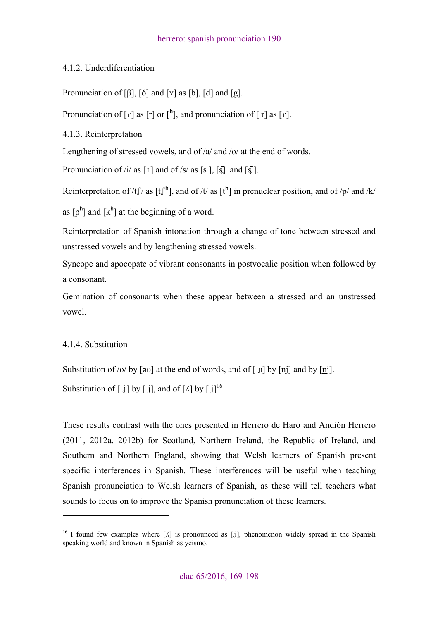## 4.1.2. Underdiferentiation

Pronunciation of [β], [ð] and [ $\mathbf{v}$ ] as [b], [d] and [g].

Pronunciation of  $\lceil$  f  $\rceil$  as  $\lceil$  f  $\rceil$  or  $\lceil$ <sup>h</sup> $\rceil$ , and pronunciation of  $\lceil$  f  $\rceil$  as  $\lceil$  f  $\rceil$ .

4.1.3. Reinterpretation

Lengthening of stressed vowels, and of /a/ and /o/ at the end of words.

Pronunciation of /i/ as  $\lceil \frac{1}{2} \rceil$  and of /s/ as  $\lceil \frac{1}{2} \rceil$ ,  $\lceil \frac{1}{2} \rceil$  and  $\lceil \frac{1}{2} \rceil$ .

Reinterpretation of /t  $\int$  / as  $[t^h]$ , and of /t/ as  $[t^h]$  in prenuclear position, and of /p/ and /k/

as  $[p^h]$  and  $[k^h]$  at the beginning of a word.

Reinterpretation of Spanish intonation through a change of tone between stressed and unstressed vowels and by lengthening stressed vowels.

Syncope and apocopate of vibrant consonants in postvocalic position when followed by a consonant.

Gemination of consonants when these appear between a stressed and an unstressed vowel.

## 4.1.4. Substitution

 $\overline{a}$ 

Substitution of /o/ by  $\lceil \frac{1}{2} \sigma \rceil$  at the end of words, and of  $\lceil \frac{1}{2} \rceil$  by  $\lceil \frac{1}{2} \rceil$  and by  $\lceil \frac{1}{2} \rceil$ .

Substitution of  $\left[ \begin{array}{c} j \end{array} \right]$  by  $\left[ \begin{array}{c} j \end{array} \right]$ , and of  $\left[ \begin{array}{c} \wedge \end{array} \right]$  by  $\left[ \begin{array}{c} j \end{array} \right]$ <sup>16</sup>

These results contrast with the ones presented in Herrero de Haro and Andión Herrero (2011, 2012a, 2012b) for Scotland, Northern Ireland, the Republic of Ireland, and Southern and Northern England, showing that Welsh learners of Spanish present specific interferences in Spanish. These interferences will be useful when teaching Spanish pronunciation to Welsh learners of Spanish, as these will tell teachers what sounds to focus on to improve the Spanish pronunciation of these learners.

<sup>&</sup>lt;sup>16</sup> I found few examples where  $\lceil \Delta \rceil$  is pronounced as  $\lceil \frac{1}{2} \rceil$ , phenomenon widely spread in the Spanish speaking world and known in Spanish as yeísmo.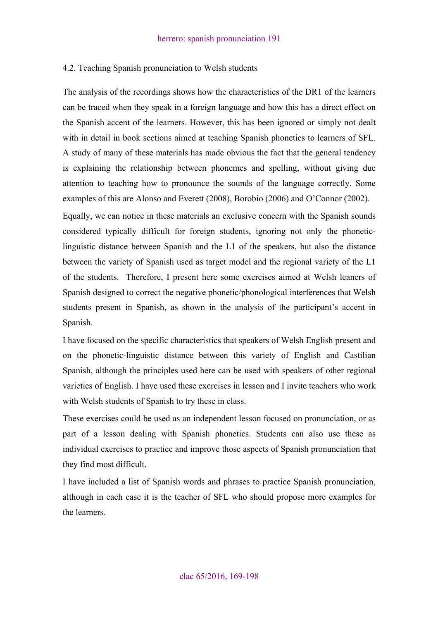#### 4.2. Teaching Spanish pronunciation to Welsh students

The analysis of the recordings shows how the characteristics of the DR1 of the learners can be traced when they speak in a foreign language and how this has a direct effect on the Spanish accent of the learners. However, this has been ignored or simply not dealt with in detail in book sections aimed at teaching Spanish phonetics to learners of SFL. A study of many of these materials has made obvious the fact that the general tendency is explaining the relationship between phonemes and spelling, without giving due attention to teaching how to pronounce the sounds of the language correctly. Some examples of this are Alonso and Everett (2008), Borobio (2006) and O'Connor (2002).

Equally, we can notice in these materials an exclusive concern with the Spanish sounds considered typically difficult for foreign students, ignoring not only the phoneticlinguistic distance between Spanish and the L1 of the speakers, but also the distance between the variety of Spanish used as target model and the regional variety of the L1 of the students. Therefore, I present here some exercises aimed at Welsh leaners of Spanish designed to correct the negative phonetic/phonological interferences that Welsh students present in Spanish, as shown in the analysis of the participant's accent in Spanish.

I have focused on the specific characteristics that speakers of Welsh English present and on the phonetic-linguistic distance between this variety of English and Castilian Spanish, although the principles used here can be used with speakers of other regional varieties of English. I have used these exercises in lesson and I invite teachers who work with Welsh students of Spanish to try these in class.

These exercises could be used as an independent lesson focused on pronunciation, or as part of a lesson dealing with Spanish phonetics. Students can also use these as individual exercises to practice and improve those aspects of Spanish pronunciation that they find most difficult.

I have included a list of Spanish words and phrases to practice Spanish pronunciation, although in each case it is the teacher of SFL who should propose more examples for the learners.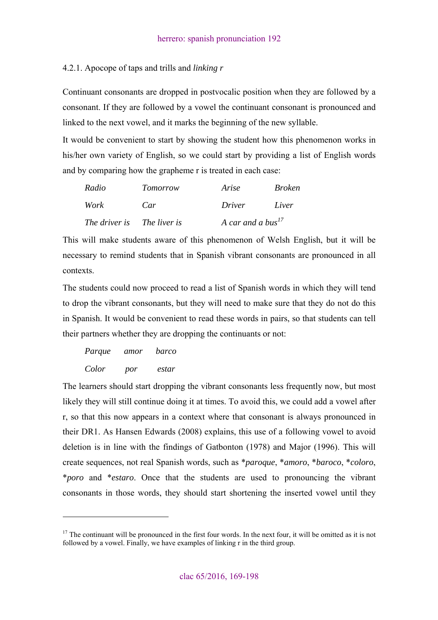## 4.2.1. Apocope of taps and trills and *linking r*

Continuant consonants are dropped in postvocalic position when they are followed by a consonant. If they are followed by a vowel the continuant consonant is pronounced and linked to the next vowel, and it marks the beginning of the new syllable.

It would be convenient to start by showing the student how this phenomenon works in his/her own variety of English, so we could start by providing a list of English words and by comparing how the grapheme r is treated in each case:

| Radio                      | Tomorrow | Arise                         | <i>Broken</i> |
|----------------------------|----------|-------------------------------|---------------|
| Work                       | Car      | <i>Driver</i>                 | Liver         |
| The driver is The liver is |          | A car and a bus <sup>17</sup> |               |

This will make students aware of this phenomenon of Welsh English, but it will be necessary to remind students that in Spanish vibrant consonants are pronounced in all contexts.

The students could now proceed to read a list of Spanish words in which they will tend to drop the vibrant consonants, but they will need to make sure that they do not do this in Spanish. It would be convenient to read these words in pairs, so that students can tell their partners whether they are dropping the continuants or not:

 *Parque amor barco Color por estar* 

 $\overline{a}$ 

The learners should start dropping the vibrant consonants less frequently now, but most likely they will still continue doing it at times. To avoid this, we could add a vowel after r, so that this now appears in a context where that consonant is always pronounced in their DR1. As Hansen Edwards (2008) explains, this use of a following vowel to avoid deletion is in line with the findings of Gatbonton (1978) and Major (1996). This will create sequences, not real Spanish words, such as \**paroque*, \**amoro*, \**baroco*, \**coloro*, \**poro* and \**estaro*. Once that the students are used to pronouncing the vibrant consonants in those words, they should start shortening the inserted vowel until they

 $17$  The continuant will be pronounced in the first four words. In the next four, it will be omitted as it is not followed by a vowel. Finally, we have examples of linking r in the third group.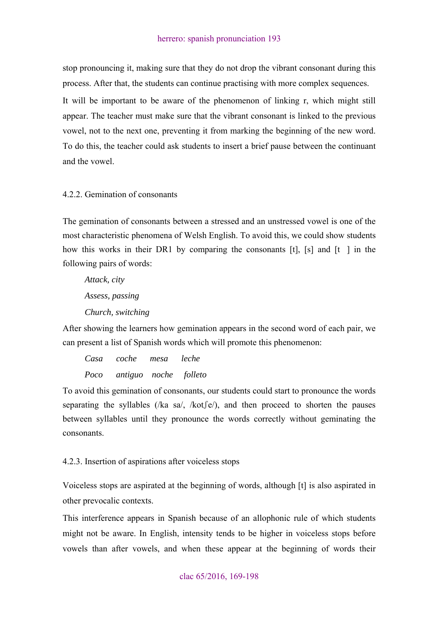stop pronouncing it, making sure that they do not drop the vibrant consonant during this process. After that, the students can continue practising with more complex sequences. It will be important to be aware of the phenomenon of linking r, which might still appear. The teacher must make sure that the vibrant consonant is linked to the previous vowel, not to the next one, preventing it from marking the beginning of the new word. To do this, the teacher could ask students to insert a brief pause between the continuant and the vowel.

### 4.2.2. Gemination of consonants

The gemination of consonants between a stressed and an unstressed vowel is one of the most characteristic phenomena of Welsh English. To avoid this, we could show students how this works in their DR1 by comparing the consonants  $[t]$ ,  $[s]$  and  $[t]$  in the following pairs of words:

 *Attack, city Assess, passing Church, switching* 

After showing the learners how gemination appears in the second word of each pair, we can present a list of Spanish words which will promote this phenomenon:

 *Casa coche mesa leche Poco antiguo noche folleto* 

To avoid this gemination of consonants, our students could start to pronounce the words separating the syllables (/ka sa/, /kot $\int$ e/), and then proceed to shorten the pauses between syllables until they pronounce the words correctly without geminating the consonants.

4.2.3. Insertion of aspirations after voiceless stops

Voiceless stops are aspirated at the beginning of words, although [t] is also aspirated in other prevocalic contexts.

This interference appears in Spanish because of an allophonic rule of which students might not be aware. In English, intensity tends to be higher in voiceless stops before vowels than after vowels, and when these appear at the beginning of words their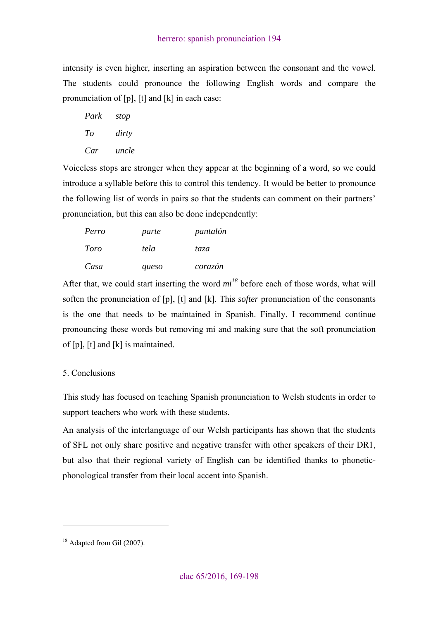intensity is even higher, inserting an aspiration between the consonant and the vowel. The students could pronounce the following English words and compare the pronunciation of [p], [t] and [k] in each case:

| Park | stop  |
|------|-------|
| Ŧо   | dirty |
| Car  | uncle |

Voiceless stops are stronger when they appear at the beginning of a word, so we could introduce a syllable before this to control this tendency. It would be better to pronounce the following list of words in pairs so that the students can comment on their partners' pronunciation, but this can also be done independently:

| Perro | parte | pantalón |
|-------|-------|----------|
| Toro  | tela  | taza     |
| Casa  | queso | corazón  |

After that, we could start inserting the word *mi<sup>18</sup>* before each of those words, what will soften the pronunciation of [p], [t] and [k]. This *softer* pronunciation of the consonants is the one that needs to be maintained in Spanish. Finally, I recommend continue pronouncing these words but removing mi and making sure that the soft pronunciation of [p], [t] and [k] is maintained.

## 5. Conclusions

This study has focused on teaching Spanish pronunciation to Welsh students in order to support teachers who work with these students.

An analysis of the interlanguage of our Welsh participants has shown that the students of SFL not only share positive and negative transfer with other speakers of their DR1, but also that their regional variety of English can be identified thanks to phoneticphonological transfer from their local accent into Spanish.

<sup>&</sup>lt;sup>18</sup> Adapted from Gil (2007).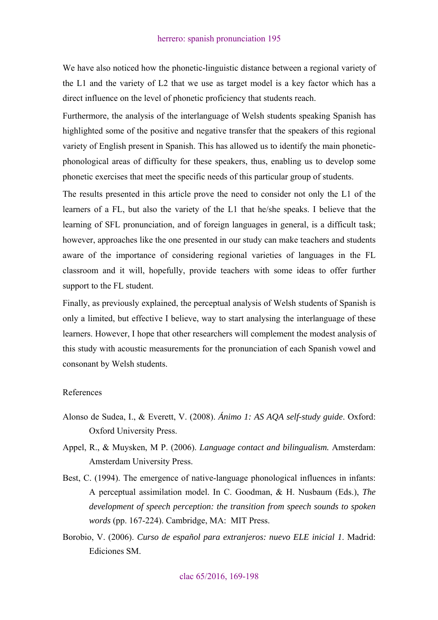We have also noticed how the phonetic-linguistic distance between a regional variety of the L1 and the variety of L2 that we use as target model is a key factor which has a direct influence on the level of phonetic proficiency that students reach.

Furthermore, the analysis of the interlanguage of Welsh students speaking Spanish has highlighted some of the positive and negative transfer that the speakers of this regional variety of English present in Spanish. This has allowed us to identify the main phoneticphonological areas of difficulty for these speakers, thus, enabling us to develop some phonetic exercises that meet the specific needs of this particular group of students.

The results presented in this article prove the need to consider not only the L1 of the learners of a FL, but also the variety of the L1 that he/she speaks. I believe that the learning of SFL pronunciation, and of foreign languages in general, is a difficult task; however, approaches like the one presented in our study can make teachers and students aware of the importance of considering regional varieties of languages in the FL classroom and it will, hopefully, provide teachers with some ideas to offer further support to the FL student.

Finally, as previously explained, the perceptual analysis of Welsh students of Spanish is only a limited, but effective I believe, way to start analysing the interlanguage of these learners. However, I hope that other researchers will complement the modest analysis of this study with acoustic measurements for the pronunciation of each Spanish vowel and consonant by Welsh students.

#### References

- Alonso de Sudea, I., & Everett, V. (2008). *Ánimo 1: AS AQA self-study guide*. Oxford: Oxford University Press.
- Appel, R., & Muysken, M P. (2006). *Language contact and bilingualism.* Amsterdam: Amsterdam University Press.
- Best, C. (1994). The emergence of native-language phonological influences in infants: A perceptual assimilation model. In C. Goodman, & H. Nusbaum (Eds.), *The development of speech perception: the transition from speech sounds to spoken words* (pp. 167-224). Cambridge, MA: MIT Press.
- Borobio, V. (2006). *Curso de español para extranjeros: nuevo ELE inicial 1*. Madrid: Ediciones SM.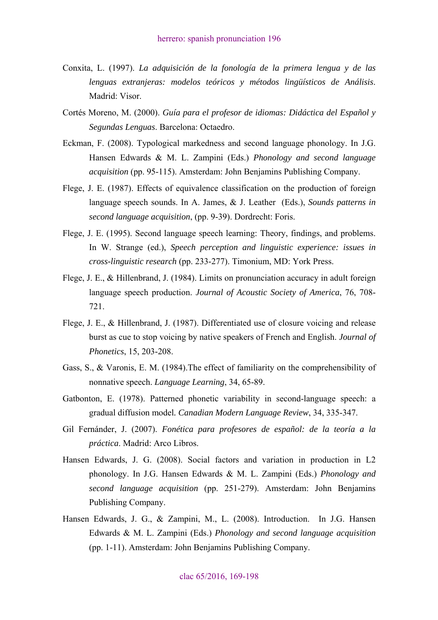- Conxita, L. (1997). *La adquisición de la fonología de la primera lengua y de las lenguas extranjeras: modelos teóricos y métodos lingüísticos de Análisis*. Madrid: Visor.
- Cortés Moreno, M. (2000). *Guía para el profesor de idiomas: Didáctica del Español y Segundas Lenguas*. Barcelona: Octaedro.
- Eckman, F. (2008). Typological markedness and second language phonology. In J.G. Hansen Edwards & M. L. Zampini (Eds.) *Phonology and second language acquisition* (pp. 95-115). Amsterdam: John Benjamins Publishing Company.
- Flege, J. E. (1987). Effects of equivalence classification on the production of foreign language speech sounds. In A. James, & J. Leather (Eds.), *Sounds patterns in second language acquisition*, (pp. 9-39). Dordrecht: Foris.
- Flege, J. E. (1995). Second language speech learning: Theory, findings, and problems. In W. Strange (ed.), *Speech perception and linguistic experience: issues in cross-linguistic research* (pp. 233-277). Timonium, MD: York Press.
- Flege, J. E., & Hillenbrand, J. (1984). Limits on pronunciation accuracy in adult foreign language speech production. *Journal of Acoustic Society of America*, 76, 708- 721.
- Flege, J. E., & Hillenbrand, J. (1987). Differentiated use of closure voicing and release burst as cue to stop voicing by native speakers of French and English. *Journal of Phonetics*, 15, 203-208.
- Gass, S., & Varonis, E. M. (1984).The effect of familiarity on the comprehensibility of nonnative speech. *Language Learning*, 34, 65-89.
- Gatbonton, E. (1978). Patterned phonetic variability in second-language speech: a gradual diffusion model*. Canadian Modern Language Review*, 34, 335-347.
- Gil Fernánder, J. (2007). *Fonética para profesores de español: de la teoría a la práctica*. Madrid: Arco Libros.
- Hansen Edwards, J. G. (2008). Social factors and variation in production in L2 phonology. In J.G. Hansen Edwards & M. L. Zampini (Eds.) *Phonology and second language acquisition* (pp. 251-279). Amsterdam: John Benjamins Publishing Company.
- Hansen Edwards, J. G., & Zampini, M., L. (2008). Introduction. In J.G. Hansen Edwards & M. L. Zampini (Eds.) *Phonology and second language acquisition* (pp. 1-11). Amsterdam: John Benjamins Publishing Company.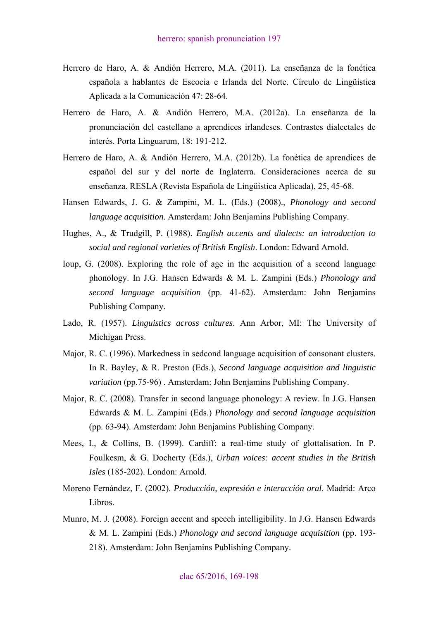- Herrero de Haro, A. & Andión Herrero, M.A. (2011). La enseñanza de la fonética española a hablantes de Escocia e Irlanda del Norte. Círculo de Lingüística Aplicada a la Comunicación 47: 28-64.
- Herrero de Haro, A. & Andión Herrero, M.A. (2012a). La enseñanza de la pronunciación del castellano a aprendices irlandeses. Contrastes dialectales de interés. Porta Linguarum, 18: 191-212.
- Herrero de Haro, A. & Andión Herrero, M.A. (2012b). La fonética de aprendices de español del sur y del norte de Inglaterra. Consideraciones acerca de su enseñanza. RESLA (Revista Española de Lingüística Aplicada), 25, 45-68.
- Hansen Edwards, J. G. & Zampini, M. L. (Eds.) (2008)., *Phonology and second language acquisition*. Amsterdam: John Benjamins Publishing Company.
- Hughes, A., & Trudgill, P. (1988). *English accents and dialects: an introduction to social and regional varieties of British English*. London: Edward Arnold.
- Ioup, G. (2008). Exploring the role of age in the acquisition of a second language phonology. In J.G. Hansen Edwards & M. L. Zampini (Eds.) *Phonology and second language acquisition* (pp. 41-62). Amsterdam: John Benjamins Publishing Company.
- Lado, R. (1957). *Linguistics across cultures*. Ann Arbor, MI: The University of Michigan Press.
- Major, R. C. (1996). Markedness in sedcond language acquisition of consonant clusters. In R. Bayley, & R. Preston (Eds.), *Second language acquisition and linguistic variation* (pp.75-96) . Amsterdam: John Benjamins Publishing Company.
- Major, R. C. (2008). Transfer in second language phonology: A review. In J.G. Hansen Edwards & M. L. Zampini (Eds.) *Phonology and second language acquisition* (pp. 63-94). Amsterdam: John Benjamins Publishing Company.
- Mees, I., & Collins, B. (1999). Cardiff: a real-time study of glottalisation. In P. Foulkesm, & G. Docherty (Eds.), *Urban voices: accent studies in the British Isles* (185-202). London: Arnold.
- Moreno Fernández, F. (2002). *Producción, expresión e interacción oral*. Madrid: Arco Libros.
- Munro, M. J. (2008). Foreign accent and speech intelligibility. In J.G. Hansen Edwards & M. L. Zampini (Eds.) *Phonology and second language acquisition* (pp. 193- 218). Amsterdam: John Benjamins Publishing Company.